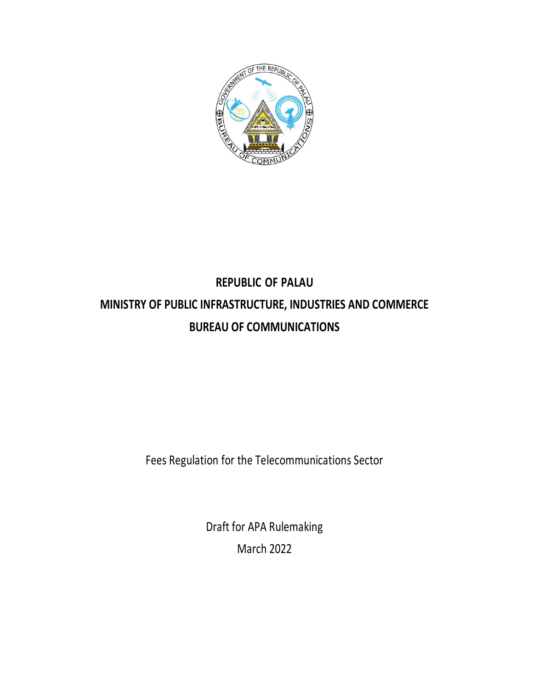

# **REPUBLIC OF PALAU MINISTRY OF PUBLIC INFRASTRUCTURE, INDUSTRIES AND COMMERCE BUREAU OF COMMUNICATIONS**

Fees Regulation for the Telecommunications Sector

Draft for APA Rulemaking March 2022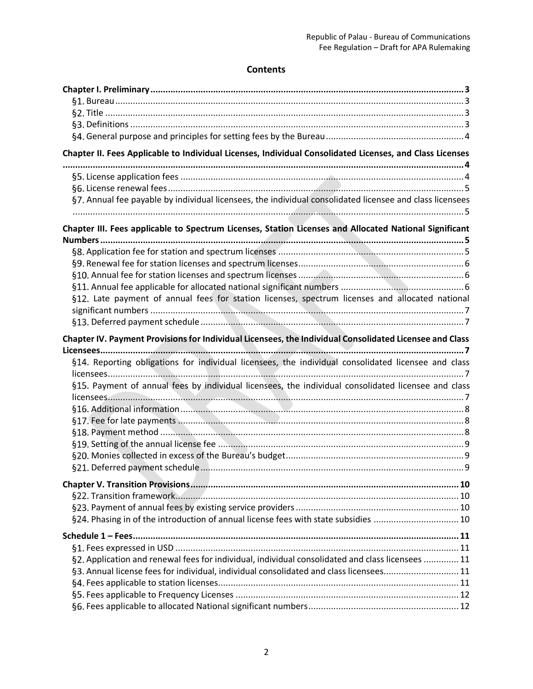## **Contents**

| Chapter II. Fees Applicable to Individual Licenses, Individual Consolidated Licenses, and Class Licenses |  |
|----------------------------------------------------------------------------------------------------------|--|
|                                                                                                          |  |
|                                                                                                          |  |
| §7. Annual fee payable by individual licensees, the individual consolidated licensee and class licensees |  |
| Chapter III. Fees applicable to Spectrum Licenses, Station Licenses and Allocated National Significant   |  |
|                                                                                                          |  |
|                                                                                                          |  |
|                                                                                                          |  |
|                                                                                                          |  |
| §12. Late payment of annual fees for station licenses, spectrum licenses and allocated national          |  |
|                                                                                                          |  |
|                                                                                                          |  |
| Chapter IV. Payment Provisions for Individual Licensees, the Individual Consolidated Licensee and Class  |  |
|                                                                                                          |  |
| §14. Reporting obligations for individual licensees, the individual consolidated licensee and class      |  |
|                                                                                                          |  |
| §15. Payment of annual fees by individual licensees, the individual consolidated licensee and class      |  |
|                                                                                                          |  |
|                                                                                                          |  |
|                                                                                                          |  |
|                                                                                                          |  |
|                                                                                                          |  |
|                                                                                                          |  |
|                                                                                                          |  |
|                                                                                                          |  |
|                                                                                                          |  |
|                                                                                                          |  |
| §24. Phasing in of the introduction of annual license fees with state subsidies  10                      |  |
|                                                                                                          |  |
|                                                                                                          |  |
| §2. Application and renewal fees for individual, individual consolidated and class licensees  11         |  |
| §3. Annual license fees for individual, individual consolidated and class licensees 11                   |  |
|                                                                                                          |  |
|                                                                                                          |  |
|                                                                                                          |  |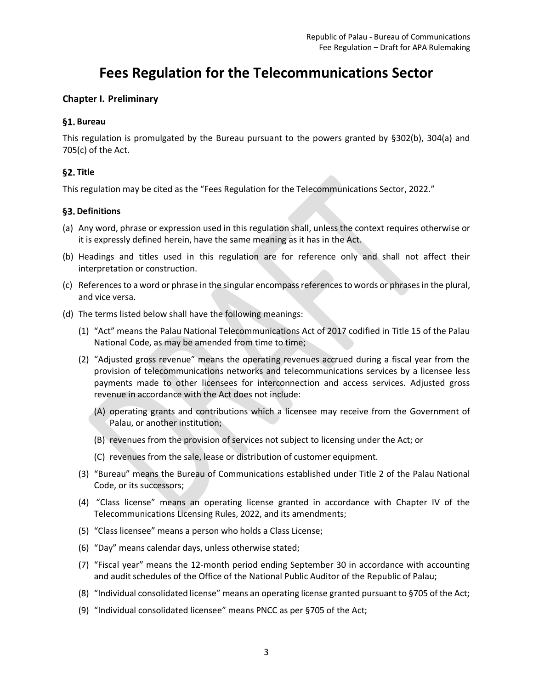## **Fees Regulation for the Telecommunications Sector**

## <span id="page-2-0"></span>**Chapter I. Preliminary**

## <span id="page-2-1"></span>**Bureau**

This regulation is promulgated by the Bureau pursuant to the powers granted by §302(b), 304(a) and 705(c) of the Act.

## <span id="page-2-2"></span>§2. Title

This regulation may be cited as the "Fees Regulation for the Telecommunications Sector, 2022."

## <span id="page-2-3"></span>§3. Definitions

- (a) Any word, phrase or expression used in this regulation shall, unless the context requires otherwise or it is expressly defined herein, have the same meaning as it has in the Act.
- (b) Headings and titles used in this regulation are for reference only and shall not affect their interpretation or construction.
- (c) References to a word or phrase in the singular encompass references to words or phrases in the plural, and vice versa.
- (d) The terms listed below shall have the following meanings:
	- (1) "Act" means the Palau National Telecommunications Act of 2017 codified in Title 15 of the Palau National Code, as may be amended from time to time;
	- (2) "Adjusted gross revenue" means the operating revenues accrued during a fiscal year from the provision of telecommunications networks and telecommunications services by a licensee less payments made to other licensees for interconnection and access services. Adjusted gross revenue in accordance with the Act does not include:
		- (A) operating grants and contributions which a licensee may receive from the Government of Palau, or another institution;
		- (B) revenues from the provision of services not subject to licensing under the Act; or
		- (C) revenues from the sale, lease or distribution of customer equipment.
	- (3) "Bureau" means the Bureau of Communications established under Title 2 of the Palau National Code, or its successors;
	- (4) "Class license" means an operating license granted in accordance with Chapter IV of the Telecommunications Licensing Rules, 2022, and its amendments;
	- (5) "Class licensee" means a person who holds a Class License;
	- (6) "Day" means calendar days, unless otherwise stated;
	- (7) "Fiscal year" means the 12-month period ending September 30 in accordance with accounting and audit schedules of the Office of the National Public Auditor of the Republic of Palau;
	- (8) "Individual consolidated license" means an operating license granted pursuant to §705 of the Act;
	- (9) "Individual consolidated licensee" means PNCC as per §705 of the Act;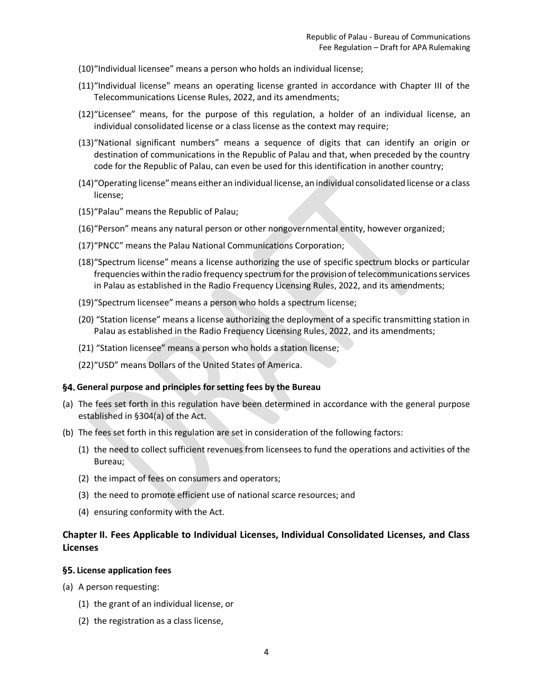- (10)"Individual licensee" means a person who holds an individual license;
- (11)"Individual license" means an operating license granted in accordance with Chapter III of the Telecommunications License Rules, 2022, and its amendments;
- (12)"Licensee" means, for the purpose of this regulation, a holder of an individual license, an individual consolidated license or a class license as the context may require;
- (13)"National significant numbers" means a sequence of digits that can identify an origin or destination of communications in the Republic of Palau and that, when preceded by the country code for the Republic of Palau, can even be used for this identification in another country;
- (14)"Operating license" means either an individual license, an individual consolidated license or a class license;
- (15)"Palau" means the Republic of Palau;
- (16)"Person" means any natural person or other nongovernmental entity, however organized;
- (17)"PNCC" means the Palau National Communications Corporation;
- (18)"Spectrum license" means a license authorizing the use of specific spectrum blocks or particular frequencies within the radio frequency spectrum for the provision of telecommunications services in Palau as established in the Radio Frequency Licensing Rules, 2022, and its amendments;
- (19)"Spectrum licensee" means a person who holds a spectrum license;
- (20) "Station license" means a license authorizing the deployment of a specific transmitting station in Palau as established in the Radio Frequency Licensing Rules, 2022, and its amendments;
- (21) "Station licensee" means a person who holds a station license;
- (22)"USD" means Dollars of the United States of America.

#### <span id="page-3-0"></span>**General purpose and principles for setting fees by the Bureau**

- (a) The fees set forth in this regulation have been determined in accordance with the general purpose established in §304(a) of the Act.
- (b) The fees set forth in this regulation are set in consideration of the following factors:
	- (1) the need to collect sufficient revenues from licensees to fund the operations and activities of the Bureau;
	- (2) the impact of fees on consumers and operators;
	- (3) the need to promote efficient use of national scarce resources; and
	- (4) ensuring conformity with the Act.

## <span id="page-3-1"></span>**Chapter II. Fees Applicable to Individual Licenses, Individual Consolidated Licenses, and Class Licenses**

#### <span id="page-3-2"></span>**License application fees**

- (a) A person requesting:
	- (1) the grant of an individual license, or
	- (2) the registration as a class license,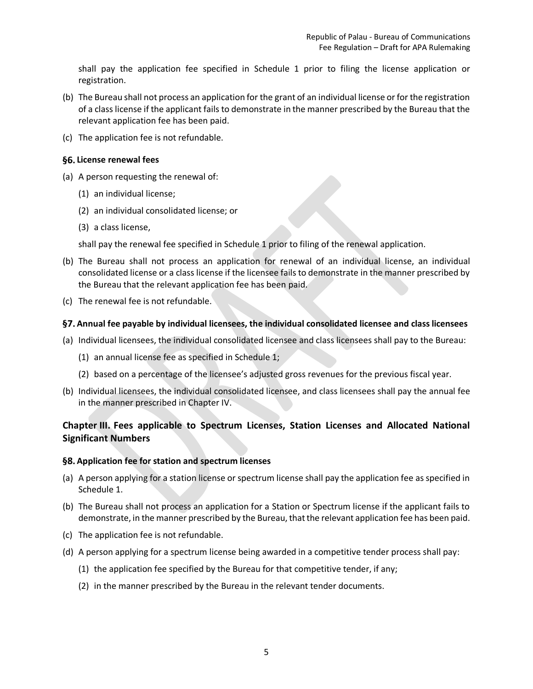shall pay the application fee specified in Schedule 1 prior to filing the license application or registration.

- (b) The Bureau shall not process an application for the grant of an individual license or for the registration of a class license if the applicant fails to demonstrate in the manner prescribed by the Bureau that the relevant application fee has been paid.
- (c) The application fee is not refundable.

#### <span id="page-4-0"></span>**License renewal fees**

- (a) A person requesting the renewal of:
	- (1) an individual license;
	- (2) an individual consolidated license; or
	- (3) a class license,

shall pay the renewal fee specified in Schedule 1 prior to filing of the renewal application.

- (b) The Bureau shall not process an application for renewal of an individual license, an individual consolidated license or a class license if the licensee fails to demonstrate in the manner prescribed by the Bureau that the relevant application fee has been paid.
- (c) The renewal fee is not refundable.

## <span id="page-4-1"></span>**Annual fee payable by individual licensees, the individual consolidated licensee and class licensees**

- (a) Individual licensees, the individual consolidated licensee and class licensees shall pay to the Bureau:
	- (1) an annual license fee as specified in Schedule 1;
	- (2) based on a percentage of the licensee's adjusted gross revenues for the previous fiscal year.
- (b) Individual licensees, the individual consolidated licensee, and class licensees shall pay the annual fee in the manner prescribed in [Chapter IV.](#page-6-2)

## <span id="page-4-2"></span>**Chapter III. Fees applicable to Spectrum Licenses, Station Licenses and Allocated National Significant Numbers**

#### <span id="page-4-3"></span>**Application fee for station and spectrum licenses**

- (a) A person applying for a station license or spectrum license shall pay the application fee as specified in Schedule 1.
- (b) The Bureau shall not process an application for a Station or Spectrum license if the applicant fails to demonstrate, in the manner prescribed by the Bureau, that the relevant application fee has been paid.
- (c) The application fee is not refundable.
- (d) A person applying for a spectrum license being awarded in a competitive tender process shall pay:
	- (1) the application fee specified by the Bureau for that competitive tender, if any;
	- (2) in the manner prescribed by the Bureau in the relevant tender documents.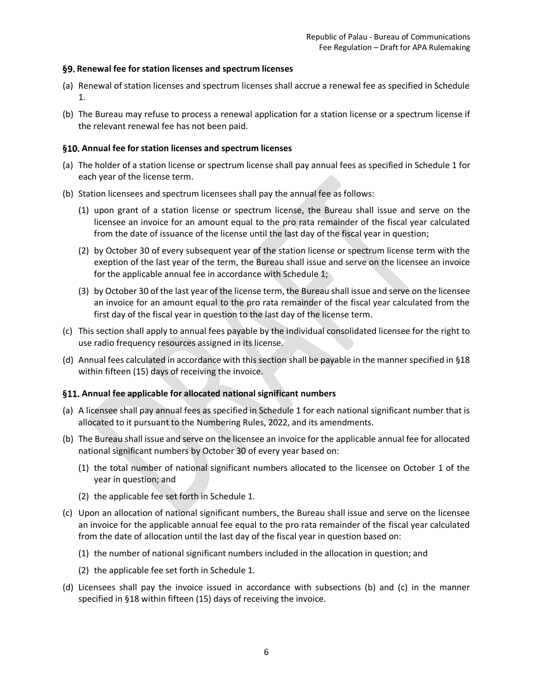#### <span id="page-5-0"></span>**Renewal fee for station licenses and spectrum licenses**

- (a) Renewal of station licenses and spectrum licenses shall accrue a renewal fee as specified in Schedule 1.
- (b) The Bureau may refuse to process a renewal application for a station license or a spectrum license if the relevant renewal fee has not been paid.

#### <span id="page-5-1"></span>**Annual fee for station licenses and spectrum licenses**

- (a) The holder of a station license or spectrum license shall pay annual fees as specified in Schedule 1 for each year of the license term.
- (b) Station licensees and spectrum licensees shall pay the annual fee as follows:
	- (1) upon grant of a station license or spectrum license, the Bureau shall issue and serve on the licensee an invoice for an amount equal to the pro rata remainder of the fiscal year calculated from the date of issuance of the license until the last day of the fiscal year in question;
	- (2) by October 30 of every subsequent year of the station license or spectrum license term with the exeption of the last year of the term, the Bureau shall issue and serve on the licensee an invoice for the applicable annual fee in accordance with Schedule 1;
	- (3) by October 30 of the last year of the license term, the Bureau shall issue and serve on the licensee an invoice for an amount equal to the pro rata remainder of the fiscal year calculated from the first day of the fiscal year in question to the last day of the license term.
- (c) This section shall apply to annual fees payable by the individual consolidated licensee for the right to use radio frequency resources assigned in its license.
- (d) Annual fees calculated in accordance with this section shall be payable in the manner specified in [§18](#page-7-2) within fifteen (15) days of receiving the invoice.

#### <span id="page-5-5"></span><span id="page-5-2"></span>**Annual fee applicable for allocated national significant numbers**

- (a) A licensee shall pay annual fees as specified in Schedule 1 for each national significant number that is allocated to it pursuant to the Numbering Rules, 2022, and its amendments.
- <span id="page-5-3"></span>(b) The Bureau shall issue and serve on the licensee an invoice for the applicable annual fee for allocated national significant numbers by October 30 of every year based on:
	- (1) the total number of national significant numbers allocated to the licensee on October 1 of the year in question; and
	- (2) the applicable fee set forth in Schedule 1.
- <span id="page-5-4"></span>(c) Upon an allocation of national significant numbers, the Bureau shall issue and serve on the licensee an invoice for the applicable annual fee equal to the pro rata remainder of the fiscal year calculated from the date of allocation until the last day of the fiscal year in question based on:
	- (1) the number of national significant numbers included in the allocation in question; and
	- (2) the applicable fee set forth in Schedule 1.
- (d) Licensees shall pay the invoice issued in accordance with subsections [\(b\)](#page-5-3) and [\(c\)](#page-5-4) in the manner specified in [§18](#page-7-2) within fifteen (15) days of receiving the invoice.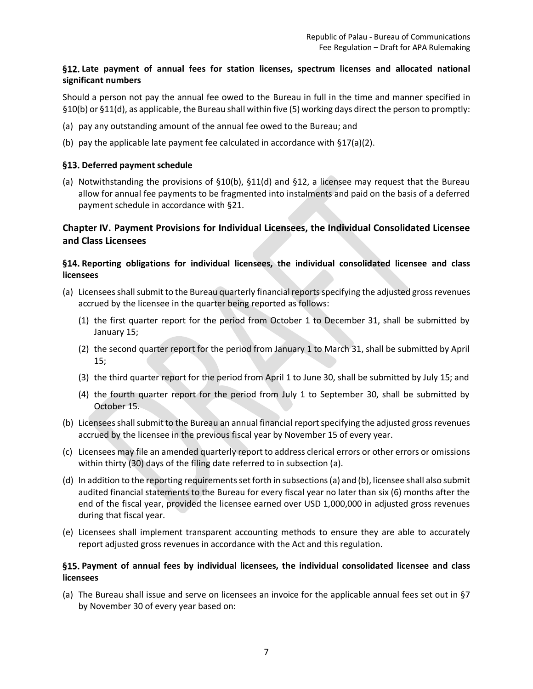## <span id="page-6-0"></span>**Late payment of annual fees for station licenses, spectrum licenses and allocated national significant numbers**

Should a person not pay the annual fee owed to the Bureau in full in the time and manner specified in [§10\(b\)](#page-5-1) o[r §11\(d\),](#page-5-5) as applicable, the Bureau shall within five (5) working days direct the person to promptly:

- (a) pay any outstanding amount of the annual fee owed to the Bureau; and
- (b) pay the applicable late payment fee calculated in accordance with [§17\(a\)](#page-7-1)[\(2\).](#page-7-3)

#### <span id="page-6-1"></span>§13. Deferred payment schedule

<span id="page-6-7"></span>(a) Notwithstanding the provisions of [§10\(b\),](#page-5-1) [§11\(d\)](#page-5-5) and §12, a licensee may request that the Bureau allow for annual fee payments to be fragmented into instalments and paid on the basis of a deferred payment schedule in accordance with [§21.](#page-8-2)

## <span id="page-6-2"></span>**Chapter IV. Payment Provisions for Individual Licensees, the Individual Consolidated Licensee and Class Licensees**

## <span id="page-6-5"></span><span id="page-6-3"></span>**Reporting obligations for individual licensees, the individual consolidated licensee and class licensees**

- (a) Licensees shall submit to the Bureau quarterly financial reports specifying the adjusted gross revenues accrued by the licensee in the quarter being reported as follows:
	- (1) the first quarter report for the period from October 1 to December 31, shall be submitted by January 15;
	- (2) the second quarter report for the period from January 1 to March 31, shall be submitted by April 15;
	- (3) the third quarter report for the period from April 1 to June 30, shall be submitted by July 15; and
	- (4) the fourth quarter report for the period from July 1 to September 30, shall be submitted by October 15.
- <span id="page-6-6"></span>(b) Licensees shall submit to the Bureau an annual financial report specifying the adjusted gross revenues accrued by the licensee in the previous fiscal year by November 15 of every year.
- (c) Licensees may file an amended quarterly report to address clerical errors or other errors or omissions within thirty (30) days of the filing date referred to in subsection (a).
- (d) In addition to the reporting requirements set forth in subsections (a) and (b), licensee shall also submit audited financial statements to the Bureau for every fiscal year no later than six (6) months after the end of the fiscal year, provided the licensee earned over USD 1,000,000 in adjusted gross revenues during that fiscal year.
- (e) Licensees shall implement transparent accounting methods to ensure they are able to accurately report adjusted gross revenues in accordance with the Act and this regulation.

#### <span id="page-6-4"></span>**Payment of annual fees by individual licensees, the individual consolidated licensee and class licensees**

(a) The Bureau shall issue and serve on licensees an invoice for the applicable annual fees set out in [§7](#page-4-1) by November 30 of every year based on: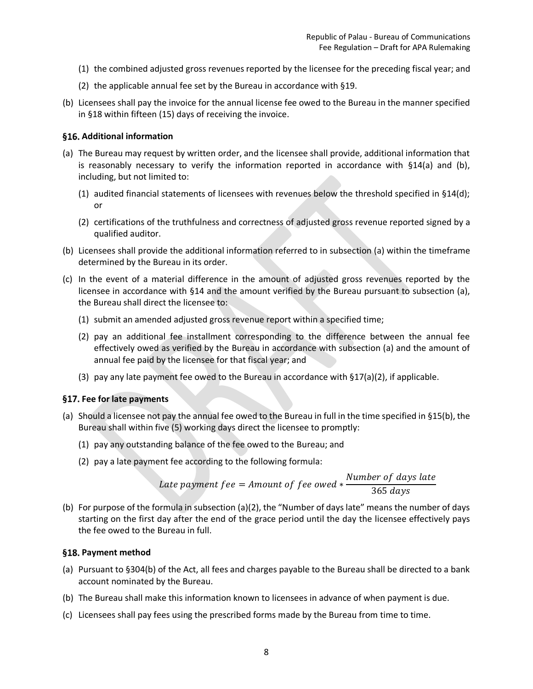- (1) the combined adjusted gross revenues reported by the licensee for the preceding fiscal year; and
- (2) the applicable annual fee set by the Bureau in accordance with [§19.](#page-8-0)
- (b) Licensees shall pay the invoice for the annual license fee owed to the Bureau in the manner specified in [§18](#page-7-4) within fifteen (15) days of receiving the invoice.

#### <span id="page-7-0"></span>**Additional information**

- (a) The Bureau may request by written order, and the licensee shall provide, additional information that is reasonably necessary to verify the information reported in accordance with [§14\(a\)](#page-6-5) and [\(b\),](#page-6-6) including, but not limited to:
	- (1) audited financial statements of licensees with revenues below the threshold specified in  $$14(d)$ ; or
	- (2) certifications of the truthfulness and correctness of adjusted gross revenue reported signed by a qualified auditor.
- (b) Licensees shall provide the additional information referred to in subsection (a) within the timeframe determined by the Bureau in its order.
- (c) In the event of a material difference in the amount of adjusted gross revenues reported by the licensee in accordance with [§14](#page-6-5) and the amount verified by the Bureau pursuant to subsection (a), the Bureau shall direct the licensee to:
	- (1) submit an amended adjusted gross revenue report within a specified time;
	- (2) pay an additional fee installment corresponding to the difference between the annual fee effectively owed as verified by the Bureau in accordance with subsection (a) and the amount of annual fee paid by the licensee for that fiscal year; and
	- (3) pay any late payment fee owed to the Bureau in accordance with  $$17(a)(2)$ , if applicable.

#### <span id="page-7-1"></span>**Fee for late payments**

- <span id="page-7-5"></span><span id="page-7-3"></span>(a) Should a licensee not pay the annual fee owed to the Bureau in full in the time specified in [§15\(b\),](#page-6-4) the Bureau shall within five (5) working days direct the licensee to promptly:
	- (1) pay any outstanding balance of the fee owed to the Bureau; and
	- (2) pay a late payment fee according to the following formula:

Late payment  $fee = A$ mount of  $fee$  owed  $*$ Number of days late 365 days

(b) For purpose of the formula in subsection [\(a\)\(](#page-7-5)2), the "Number of days late" means the number of days starting on the first day after the end of the grace period until the day the licensee effectively pays the fee owed to the Bureau in full.

#### <span id="page-7-4"></span><span id="page-7-2"></span>§18. Payment method

- (a) Pursuant to §304(b) of the Act, all fees and charges payable to the Bureau shall be directed to a bank account nominated by the Bureau.
- (b) The Bureau shall make this information known to licensees in advance of when payment is due.
- (c) Licensees shall pay fees using the prescribed forms made by the Bureau from time to time.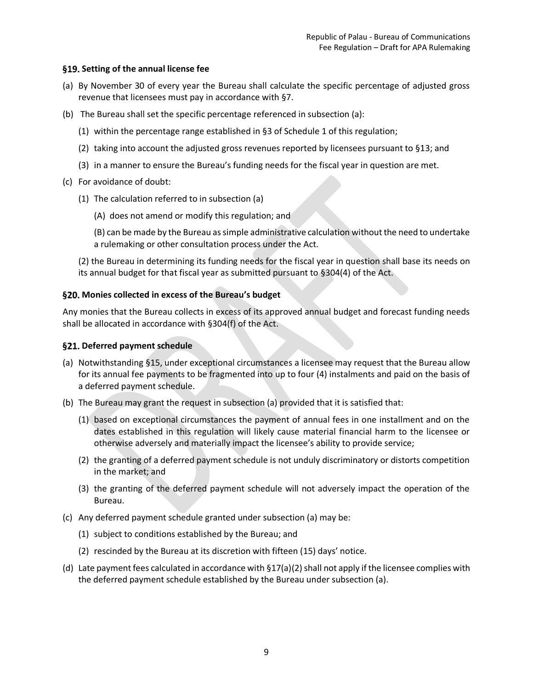#### <span id="page-8-0"></span>**Setting of the annual license fee**

- <span id="page-8-3"></span>(a) By November 30 of every year the Bureau shall calculate the specific percentage of adjusted gross revenue that licensees must pay in accordance wit[h §7.](#page-4-1)
- (b) The Bureau shall set the specific percentage referenced in subsection [\(a\):](#page-8-3)
	- (1) within the percentage range established i[n §3](#page-10-3) of Schedule 1 of this regulation;
	- (2) taking into account the adjusted gross revenues reported by licensees pursuant to [§13;](#page-6-1) and
	- (3) in a manner to ensure the Bureau's funding needs for the fiscal year in question are met.
- (c) For avoidance of doubt:
	- (1) The calculation referred to in subsection [\(a\)](#page-8-3)
		- (A) does not amend or modify this regulation; and

(B) can be made by the Bureau as simple administrative calculation without the need to undertake a rulemaking or other consultation process under the Act.

(2) the Bureau in determining its funding needs for the fiscal year in question shall base its needs on its annual budget for that fiscal year as submitted pursuant to §304(4) of the Act.

#### <span id="page-8-1"></span>**Monies collected in excess of the Bureau's budget**

Any monies that the Bureau collects in excess of its approved annual budget and forecast funding needs shall be allocated in accordance with §304(f) of the Act.

#### <span id="page-8-2"></span>§21. Deferred payment schedule

- (a) Notwithstanding [§15,](#page-6-4) under exceptional circumstances a licensee may request that the Bureau allow for its annual fee payments to be fragmented into up to four (4) instalments and paid on the basis of a deferred payment schedule.
- (b) The Bureau may grant the request in subsection [\(a\)](#page-6-7) provided that it is satisfied that:
	- (1) based on exceptional circumstances the payment of annual fees in one installment and on the dates established in this regulation will likely cause material financial harm to the licensee or otherwise adversely and materially impact the licensee's ability to provide service;
	- (2) the granting of a deferred payment schedule is not unduly discriminatory or distorts competition in the market; and
	- (3) the granting of the deferred payment schedule will not adversely impact the operation of the Bureau.
- (c) Any deferred payment schedule granted under subsection [\(a\)](#page-6-7) may be:
	- (1) subject to conditions established by the Bureau; and
	- (2) rescinded by the Bureau at its discretion with fifteen (15) days' notice.
- (d) Late payment fees calculated in accordance with  $\S 17(a)(2)$  $\S 17(a)(2)$  shall not apply if the licensee complies with the deferred payment schedule established by the Bureau under subsection [\(a\).](#page-6-7)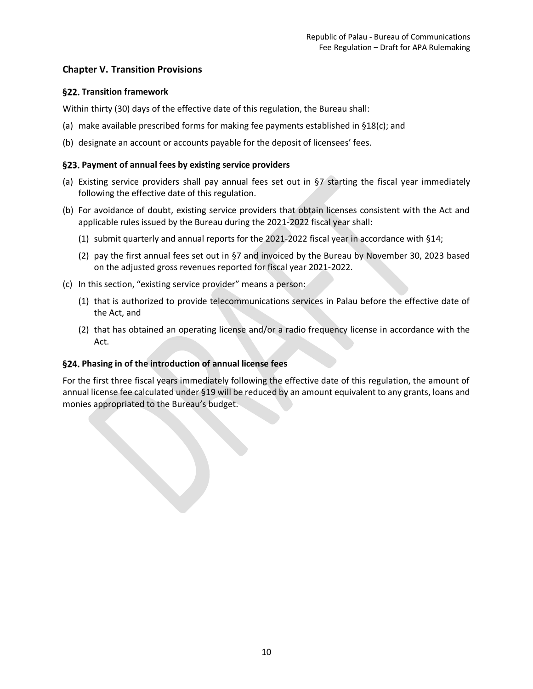## <span id="page-9-0"></span>**Chapter V. Transition Provisions**

## <span id="page-9-1"></span>**§22. Transition framework**

Within thirty (30) days of the effective date of this regulation, the Bureau shall:

- (a) make available prescribed forms for making fee payments established i[n §18\(c\);](#page-7-2) and
- (b) designate an account or accounts payable for the deposit of licensees' fees.

#### <span id="page-9-2"></span>**Payment of annual fees by existing service providers**

- (a) Existing service providers shall pay annual fees set out in [§7](#page-4-1) starting the fiscal year immediately following the effective date of this regulation.
- (b) For avoidance of doubt, existing service providers that obtain licenses consistent with the Act and applicable rules issued by the Bureau during the 2021-2022 fiscal year shall:
	- (1) submit quarterly and annual reports for the 2021-2022 fiscal year in accordance wit[h §14;](#page-6-3)
	- (2) pay the first annual fees set out in [§7](#page-4-1) and invoiced by the Bureau by November 30, 2023 based on the adjusted gross revenues reported for fiscal year 2021-2022.
- (c) In this section, "existing service provider" means a person:
	- (1) that is authorized to provide telecommunications services in Palau before the effective date of the Act, and
	- (2) that has obtained an operating license and/or a radio frequency license in accordance with the Act.

## <span id="page-9-3"></span>**Phasing in of the introduction of annual license fees**

For the first three fiscal years immediately following the effective date of this regulation, the amount of annual license fee calculated under [§19](#page-8-0) will be reduced by an amount equivalent to any grants, loans and monies appropriated to the Bureau's budget.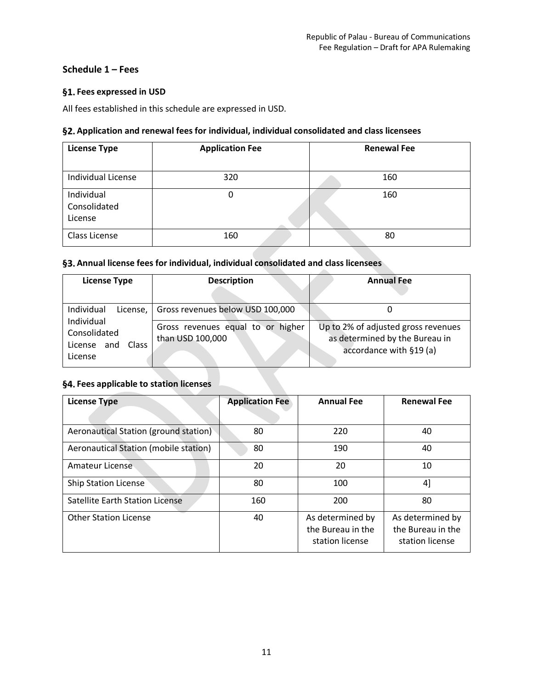## <span id="page-10-0"></span>**Schedule 1 – Fees**

## <span id="page-10-1"></span>**Fees expressed in USD**

All fees established in this schedule are expressed in USD.

#### <span id="page-10-2"></span>**Application and renewal fees for individual, individual consolidated and class licensees**

| <b>License Type</b>                   | <b>Application Fee</b> | <b>Renewal Fee</b> |
|---------------------------------------|------------------------|--------------------|
| Individual License                    | 320                    | 160                |
| Individual<br>Consolidated<br>License | 0                      | 160                |
| Class License                         | 160                    | 80                 |

#### <span id="page-10-3"></span>**Annual license fees for individual, individual consolidated and class licensees**

| <b>License Type</b>                             | <b>Description</b>                                    | <b>Annual Fee</b>                                                                                |
|-------------------------------------------------|-------------------------------------------------------|--------------------------------------------------------------------------------------------------|
| Individual<br>License,<br>Individual            | Gross revenues below USD 100,000                      |                                                                                                  |
| Consolidated<br>License and<br>Class<br>License | Gross revenues equal to or higher<br>than USD 100,000 | Up to 2% of adjusted gross revenues<br>as determined by the Bureau in<br>accordance with §19 (a) |

## <span id="page-10-4"></span>**Fees applicable to station licenses**

| <b>License Type</b>                   | <b>Application Fee</b> | <b>Annual Fee</b>                                        | <b>Renewal Fee</b>                                       |
|---------------------------------------|------------------------|----------------------------------------------------------|----------------------------------------------------------|
|                                       |                        |                                                          |                                                          |
| Aeronautical Station (ground station) | 80                     | 220                                                      | 40                                                       |
| Aeronautical Station (mobile station) | 80                     | 190                                                      | 40                                                       |
| Amateur License                       | 20                     | 20                                                       | 10                                                       |
| <b>Ship Station License</b>           | 80                     | 100                                                      | 41                                                       |
| Satellite Earth Station License       | 160                    | 200                                                      | 80                                                       |
| <b>Other Station License</b>          | 40                     | As determined by<br>the Bureau in the<br>station license | As determined by<br>the Bureau in the<br>station license |